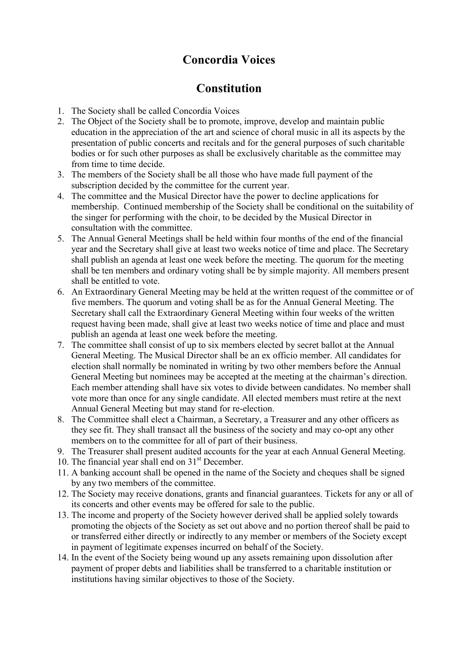## Concordia Voices

## **Constitution**

- 1. The Society shall be called Concordia Voices
- 2. The Object of the Society shall be to promote, improve, develop and maintain public education in the appreciation of the art and science of choral music in all its aspects by the presentation of public concerts and recitals and for the general purposes of such charitable bodies or for such other purposes as shall be exclusively charitable as the committee may from time to time decide.
- 3. The members of the Society shall be all those who have made full payment of the subscription decided by the committee for the current year.
- 4. The committee and the Musical Director have the power to decline applications for membership. Continued membership of the Society shall be conditional on the suitability of the singer for performing with the choir, to be decided by the Musical Director in consultation with the committee.
- 5. The Annual General Meetings shall be held within four months of the end of the financial year and the Secretary shall give at least two weeks notice of time and place. The Secretary shall publish an agenda at least one week before the meeting. The quorum for the meeting shall be ten members and ordinary voting shall be by simple majority. All members present shall be entitled to vote.
- 6. An Extraordinary General Meeting may be held at the written request of the committee or of five members. The quorum and voting shall be as for the Annual General Meeting. The Secretary shall call the Extraordinary General Meeting within four weeks of the written request having been made, shall give at least two weeks notice of time and place and must publish an agenda at least one week before the meeting.
- 7. The committee shall consist of up to six members elected by secret ballot at the Annual General Meeting. The Musical Director shall be an ex officio member. All candidates for election shall normally be nominated in writing by two other members before the Annual General Meeting but nominees may be accepted at the meeting at the chairman's direction. Each member attending shall have six votes to divide between candidates. No member shall vote more than once for any single candidate. All elected members must retire at the next Annual General Meeting but may stand for re-election.
- 8. The Committee shall elect a Chairman, a Secretary, a Treasurer and any other officers as they see fit. They shall transact all the business of the society and may co-opt any other members on to the committee for all of part of their business.
- 9. The Treasurer shall present audited accounts for the year at each Annual General Meeting.
- 10. The financial year shall end on 31<sup>st</sup> December.
- 11. A banking account shall be opened in the name of the Society and cheques shall be signed by any two members of the committee.
- 12. The Society may receive donations, grants and financial guarantees. Tickets for any or all of its concerts and other events may be offered for sale to the public.
- 13. The income and property of the Society however derived shall be applied solely towards promoting the objects of the Society as set out above and no portion thereof shall be paid to or transferred either directly or indirectly to any member or members of the Society except in payment of legitimate expenses incurred on behalf of the Society.
- 14. In the event of the Society being wound up any assets remaining upon dissolution after payment of proper debts and liabilities shall be transferred to a charitable institution or institutions having similar objectives to those of the Society.